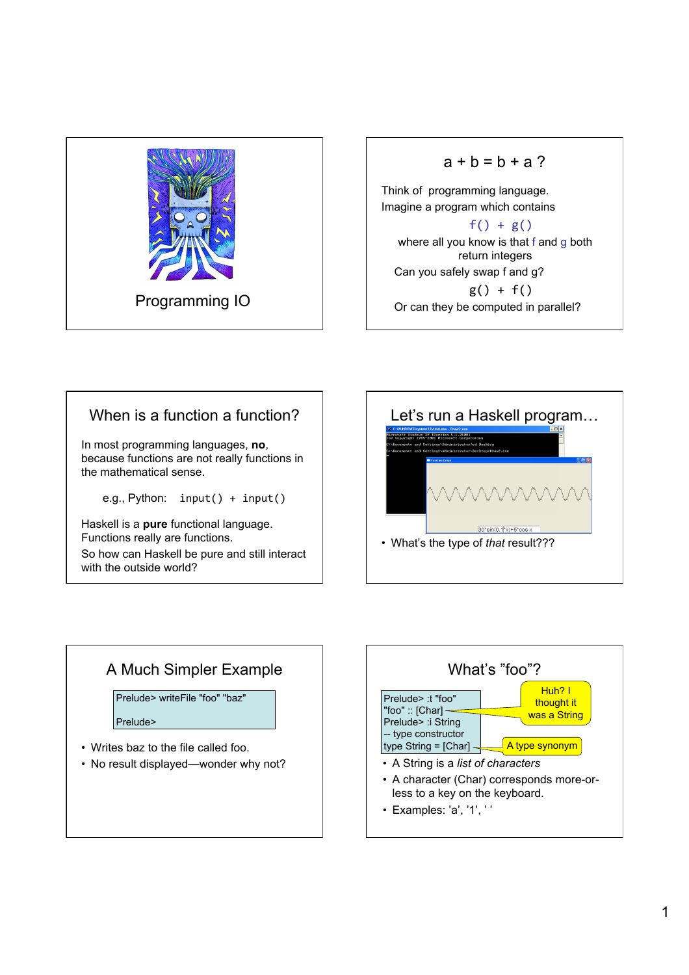

#### $a + b = b + a$ ?

Think of programming language. Imagine a program which contains

 $f() + g()$ where all you know is that f and g both return integers Can you safely swap f and g?  $g() + f()$ Or can they be computed in parallel?

## When is a function a function?

In most programming languages, **no**, because functions are not really functions in the mathematical sense.

e.g., Python:  $input() + input()$ 

Haskell is a **pure** functional language. Functions really are functions.

So how can Haskell be pure and still interact with the outside world?



# A Much Simpler Example • Writes baz to the file called foo. • No result displayed—wonder why not? Prelude> writeFile "foo" "baz" Prelude>

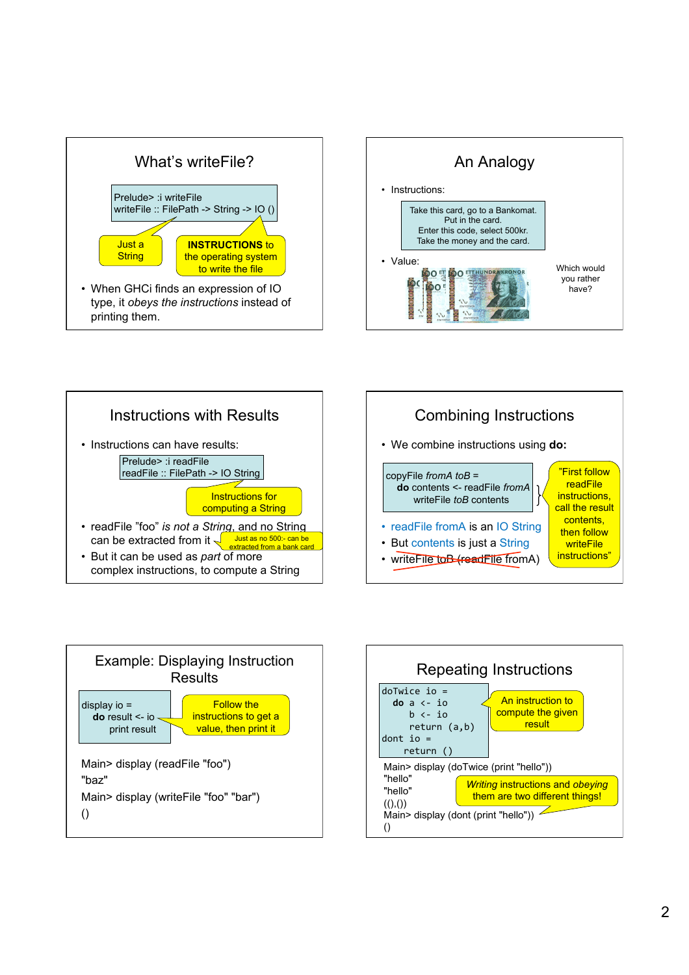









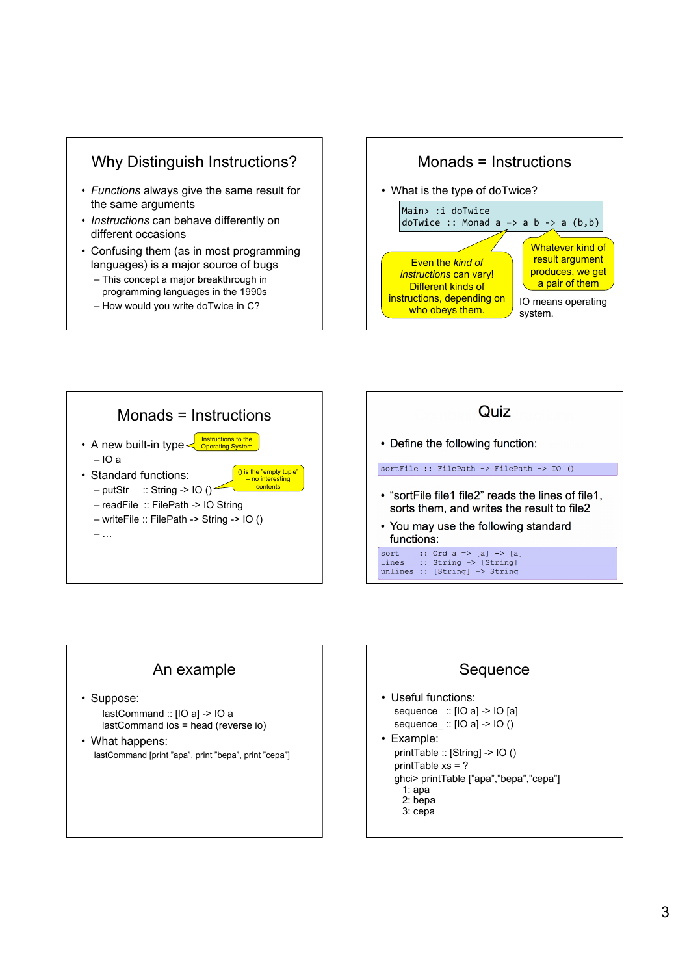

- Functions always give the same result for the same arguments
- Instructions can behave differently on different occasions
- Confusing them (as in most programming languages) is a major source of bugs
	- This concept a major breakthrough in programming languages in the 1990s
	- How would you write doTwice in C?







## An example

· Suppose:

lastCommand :: [IO a] -> IO a lastCommand ios = head (reverse io)

• What happens: lastCommand [print "apa", print "bepa", print "cepa"]



• Useful functions: sequence ::  $[IO a]$  ->  $IO$   $[a]$ sequence ::  $[IO a]$  ->  $IO ()$ • Example: printTable :: [String] -> IO () printTable  $xs = ?$ ghci> printTable ["apa","bepa","cepa"]  $1:apa$  $2:$  bepa 3: cepa